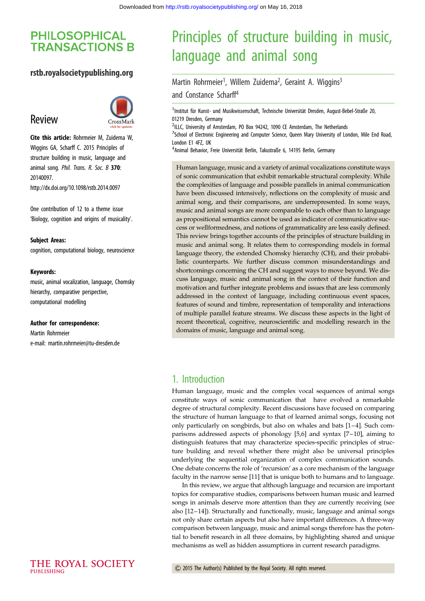# **PHILOSOPHICAL TRANSACTIONS B**

#### rstb.royalsocietypublishing.org

## Review



Cite this article: Rohrmeier M, Zuidema W, Wiggins GA, Scharff C. 2015 Principles of structure building in music, language and animal song. Phil. Trans. R. Soc. B 370: 20140097. http://dx.doi.org/10.1098/rstb.2014.0097

One contribution of 12 to a theme issue 'Biology, cognition and origins of musicality'.

#### Subject Areas:

cognition, computational biology, neuroscience

#### Keywords:

music, animal vocalization, language, Chomsky hierarchy, comparative perspective, computational modelling

#### Author for correspondence:

Martin Rohrmeier e-mail: [martin.rohrmeier@tu-dresden.de](mailto:martin.rohrmeier@tu-dresden.de)

# Principles of structure building in music, language and animal song

Martin Rohrmeier<sup>1</sup>, Willem Zuidema<sup>2</sup>, Geraint A. Wiggins<sup>3</sup>

and Constance Scharff4

<sup>1</sup>Institut für Kunst- und Musikwissenschaft, Technische Universität Dresden, August-Bebel-Straße 20, 01219 Dresden, Germany

2 ILLC, University of Amsterdam, PO Box 94242, 1090 CE Amsterdam, The Netherlands

<sup>3</sup>School of Electronic Engineering and Computer Science, Queen Mary University of London, Mile End Road, London E1 4FZ, UK

<sup>4</sup> Animal Behavior, Freie Universität Berlin, Takustraße 6, 14195 Berlin, Germany

Human language, music and a variety of animal vocalizations constitute ways of sonic communication that exhibit remarkable structural complexity. While the complexities of language and possible parallels in animal communication have been discussed intensively, reflections on the complexity of music and animal song, and their comparisons, are underrepresented. In some ways, music and animal songs are more comparable to each other than to language as propositional semantics cannot be used as indicator of communicative success or wellformedness, and notions of grammaticality are less easily defined. This review brings together accounts of the principles of structure building in music and animal song. It relates them to corresponding models in formal language theory, the extended Chomsky hierarchy (CH), and their probabilistic counterparts. We further discuss common misunderstandings and shortcomings concerning the CH and suggest ways to move beyond. We discuss language, music and animal song in the context of their function and motivation and further integrate problems and issues that are less commonly addressed in the context of language, including continuous event spaces, features of sound and timbre, representation of temporality and interactions of multiple parallel feature streams. We discuss these aspects in the light of recent theoretical, cognitive, neuroscientific and modelling research in the domains of music, language and animal song.

## 1. Introduction

Human language, music and the complex vocal sequences of animal songs constitute ways of sonic communication that have evolved a remarkable degree of structural complexity. Recent discussions have focused on comparing the structure of human language to that of learned animal songs, focusing not only particularly on songbirds, but also on whales and bats [\[1](#page-11-0)–[4\]](#page-11-0). Such comparisons addressed aspects of phonology [\[5,6\]](#page-11-0) and syntax [[7](#page-11-0)–[10\]](#page-11-0), aiming to distinguish features that may characterize species-specific principles of structure building and reveal whether there might also be universal principles underlying the sequential organization of complex communication sounds. One debate concerns the role of 'recursion' as a core mechanism of the language faculty in the narrow sense [\[11](#page-11-0)] that is unique both to humans and to language.

In this review, we argue that although language and recursion are important topics for comparative studies, comparisons between human music and learned songs in animals deserve more attention than they are currently receiving (see also [\[12](#page-11-0)–[14](#page-11-0)]). Structurally and functionally, music, language and animal songs not only share certain aspects but also have important differences. A three-way comparison between language, music and animal songs therefore has the potential to benefit research in all three domains, by highlighting shared and unique mechanisms as well as hidden assumptions in current research paradigms.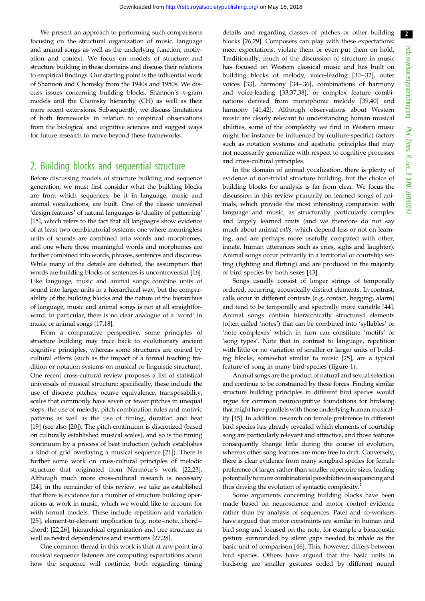We present an approach to performing such comparisons focusing on the structural organization of music, language and animal songs as well as the underlying function, motivation and context. We focus on models of structure and structure building in these domains and discuss their relations to empirical findings. Our starting point is the influential work of Shannon and Chomsky from the 1940s and 1950s. We discuss issues concerning building blocks, Shannon's n-gram models and the Chomsky hierarchy (CH) as well as their more recent extensions. Subsequently, we discuss limitations of both frameworks in relation to empirical observations from the biological and cognitive sciences and suggest ways for future research to move beyond these frameworks.

## 2. Building blocks and sequential structure

Before discussing models of structure building and sequence generation, we must first consider what the building blocks are from which sequences, be it in language, music and animal vocalizations, are built. One of the classic universal 'design features' of natural languages is 'duality of patterning' [\[15](#page-11-0)], which refers to the fact that all languages show evidence of at least two combinatorial systems: one where meaningless units of sounds are combined into words and morphemes, and one where those meaningful words and morphemes are further combined into words, phrases, sentences and discourse. While many of the details are debated, the assumption that words are building blocks of sentences is uncontroversial [[16](#page-11-0)]. Like language, music and animal songs combine units of sound into larger units in a hierarchical way, but the comparability of the building blocks and the nature of the hierarchies of language, music and animal songs is not at all straightforward. In particular, there is no clear analogue of a 'word' in music or animal songs [[17,18\]](#page-11-0).

From a comparative perspective, some principles of structure building may trace back to evolutionary ancient cognitive principles, whereas some structures are coined by cultural effects (such as the impact of a formal teaching tradition or notation systems on musical or linguistic structure). One recent cross-cultural review proposes a list of statistical universals of musical structure; specifically, these include the use of discrete pitches, octave equivalence, transposability, scales that commonly have seven or fewer pitches in unequal steps, the use of melody, pitch combination rules and motivic patterns as well as the use of timing, duration and beat [\[19](#page-12-0)] (see also [[20\]](#page-12-0)). The pitch continuum is discretized (based on culturally established musical scales), and so is the timing continuum by a process of beat induction (which establishes a kind of grid overlaying a musical sequence [\[21](#page-12-0)]). There is further some work on cross-cultural principles of melodic structure that originated from Narmour's work [\[22,23](#page-12-0)]. Although much more cross-cultural research is necessary [\[24](#page-12-0)], in the remainder of this review, we take as established that there is evidence for a number of structure building operations at work in music, which we would like to account for with formal models. These include repetition and variation [\[25](#page-12-0)], element-to-element implication (e.g. note–note, chord– chord) [[22,26\]](#page-12-0), hierarchical organization and tree structure as well as nested dependencies and insertions [\[27,28](#page-12-0)].

One common thread in this work is that at any point in a musical sequence listeners are computing expectations about how the sequence will continue, both regarding timing details and regarding classes of pitches or other building blocks [\[26,29](#page-12-0)]. Composers can play with these expectations: meet expectations, violate them or even put them on hold. Traditionally, much of the discussion of structure in music has focused on Western classical music and has built on building blocks of melody, voice-leading [\[30](#page-12-0) –[32\]](#page-12-0), outer voices [[33\]](#page-12-0), harmony [\[34](#page-12-0)-36], combinations of harmony and voice-leading [\[33,37](#page-12-0),[38\]](#page-12-0), or complex feature combinations derived from monophonic melody [\[39](#page-12-0),[40\]](#page-12-0) and harmony [[41,42\]](#page-12-0). Although observations about Western music are clearly relevant to understanding human musical abilities, some of the complexity we find in Western music might for instance be influenced by (culture-specific) factors such as notation systems and aesthetic principles that may not necessarily generalize with respect to cognitive processes and cross-cultural principles.

In the domain of animal vocalization, there is plenty of evidence of non-trivial structure building, but the choice of building blocks for analysis is far from clear. We focus the discussion in this review primarily on learned songs of animals, which provide the most interesting comparison with language and music, as structurally particularly complex and largely learned traits (and we therefore do not say much about animal calls, which depend less or not on learning, and are perhaps more usefully compared with other, innate, human utterances such as cries, sighs and laughter). Animal songs occur primarily in a territorial or courtship setting (fighting and flirting) and are produced in the majority of bird species by both sexes [[43\]](#page-12-0).

Songs usually consist of longer strings of temporally ordered, recurring, acoustically distinct elements. In contrast, calls occur in different contexts (e.g. contact, begging, alarm) and tend to be temporally and spectrally more variable [[44\]](#page-12-0). Animal songs contain hierarchically structured elements (often called 'notes') that can be combined into 'syllables' or 'note complexes' which in turn can constitute 'motifs' or 'song types'. Note that in contrast to language, repetition with little or no variation of smaller or larger units of building blocks, somewhat similar to music [\[25\]](#page-12-0), are a typical feature of song in many bird species ([figure 1](#page-2-0)).

Animal songs are the product of natural and sexual selection and continue to be constrained by these forces. Finding similar structure building principles in different bird species would argue for common neurocognitive foundations for birdsong that might have parallels with those underlying human musicality [[45](#page-12-0)]. In addition, research on female preference in different bird species has already revealed which elements of courtship song are particularly relevant and attractive, and those features consequently change little during the course of evolution, whereas other song features are more free to drift. Conversely, there is clear evidence from many songbird species for female preference of larger rather than smaller repertoire sizes, leading potentially to more combinatorial possibilities in sequencing and thus driving the evolution of syntactic complexity.<sup>1</sup>

Some arguments concerning building blocks have been made based on neuroscience and motor control evidence rather than by analysis of sequences. Patel and co-workers have argued that motor constraints are similar in human and bird song and focused on the note, for example a bioacoustic gesture surrounded by silent gaps needed to inhale as the basic unit of comparison [\[46\]](#page-12-0). This, however, differs between bird species. Others have argued that the basic units in birdsong are smaller gestures coded by different neural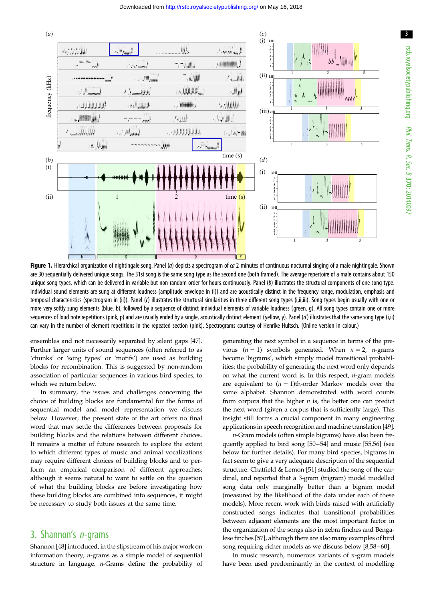<span id="page-2-0"></span>

Figure 1. Hierarchical organization of nightingale song. Panel (a) depicts a spectrogram of ca 2 minutes of continuous nocturnal singing of a male nightingale. Shown are 30 sequentially delivered unique songs. The 31st song is the same song type as the second one (both framed). The average repertoire of a male contains about 150 unique song types, which can be delivered in variable but non-random order for hours continuously. Panel (b) illustrates the structural components of one song type. Individual sound elements are sung at different loudness (amplitude envelope in (i)) and are acoustically distinct in the frequency range, modulation, emphasis and temporal characteristics (spectrogram in (ii)). Panel (c) illustrates the structural similarities in three different song types (i,ii,iii). Song types begin usually with one or more very softly sung elements (blue, b), followed by a sequence of distinct individual elements of variable loudness (green, g). All song types contain one or more sequences of loud note repetitions (pink, p) and are usually ended by a single, acoustically distinct element (yellow, y). Panel (d) illustrates that the same song type (i,ii) can vary in the number of element repetitions in the repeated section (pink). Spectrograms courtesy of Henrike Hultsch. (Online version in colour.)

ensembles and not necessarily separated by silent gaps [\[47](#page-12-0)]. Further larger units of sound sequences (often referred to as 'chunks' or 'song types' or 'motifs') are used as building blocks for recombination. This is suggested by non-random association of particular sequences in various bird species, to which we return below.

In summary, the issues and challenges concerning the choice of building blocks are fundamental for the forms of sequential model and model representation we discuss below. However, the present state of the art offers no final word that may settle the differences between proposals for building blocks and the relations between different choices. It remains a matter of future research to explore the extent to which different types of music and animal vocalizations may require different choices of building blocks and to perform an empirical comparison of different approaches: although it seems natural to want to settle on the question of what the building blocks are before investigating how these building blocks are combined into sequences, it might be necessary to study both issues at the same time.

## 3. Shannon's n-grams

Shannon [\[48\]](#page-12-0) introduced, in the slipstream of his major work on information theory, n-grams as a simple model of sequential structure in language. n-Grams define the probability of

generating the next symbol in a sequence in terms of the previous  $(n - 1)$  symbols generated. When  $n = 2$ , *n*-grams become 'bigrams', which simply model transitional probabilities: the probability of generating the next word only depends on what the current word is. In this respect,  $n$ -gram models are equivalent to  $(n - 1)$ th-order Markov models over the same alphabet. Shannon demonstrated with word counts from corpora that the higher  $n$  is, the better one can predict the next word (given a corpus that is sufficiently large). This insight still forms a crucial component in many engineering applications in speech recognition and machine translation [[49\]](#page-12-0).

n-Gram models (often simple bigrams) have also been frequently applied to bird song [\[50](#page-12-0)–[54](#page-12-0)] and music [[55](#page-12-0),[56\]](#page-12-0) (see below for further details). For many bird species, bigrams in fact seem to give a very adequate description of the sequential structure. Chatfield & Lemon [[51\]](#page-12-0) studied the song of the cardinal, and reported that a 3-gram (trigram) model modelled song data only marginally better than a bigram model (measured by the likelihood of the data under each of these models). More recent work with birds raised with artificially constructed songs indicates that transitional probabilities between adjacent elements are the most important factor in the organization of the songs also in zebra finches and Bengalese finches [\[57](#page-12-0)], although there are also many examples of bird song requiring richer models as we discuss below [[8](#page-11-0)[,58](#page-12-0)–[60](#page-12-0)].

In music research, numerous variants of  $n$ -gram models have been used predominantly in the context of modelling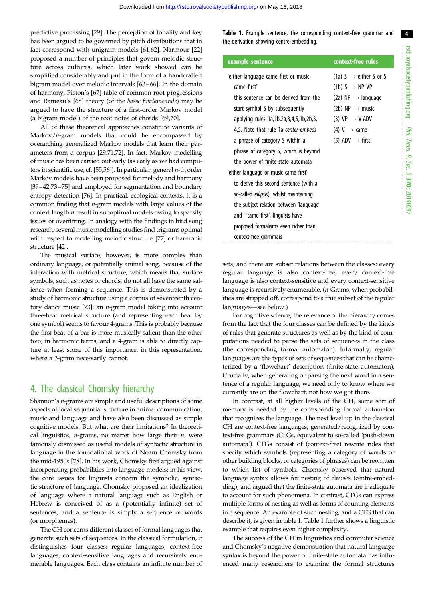predictive processing [\[29](#page-12-0)]. The perception of tonality and key has been argued to be governed by pitch distributions that in fact correspond with unigram models [\[61,62](#page-12-0)]. Narmour [[22\]](#page-12-0) proposed a number of principles that govern melodic structure across cultures, which later work showed can be simplified considerably and put in the form of a handcrafted bigram model over melodic intervals [[63](#page-12-0) –[66](#page-12-0)]. In the domain of harmony, Piston's [\[67](#page-12-0)] table of common root progressions and Rameau's [\[68](#page-12-0)] theory (of the basse fondamentale) may be argued to have the structure of a first-order Markov model (a bigram model) of the root notes of chords [\[69](#page-12-0),[70\]](#page-13-0).

All of these theoretical approaches constitute variants of Markov/ $n$ -gram models that could be encompassed by overarching generalized Markov models that learn their parameters from a corpus [\[29](#page-12-0)[,71,72](#page-13-0)]. In fact, Markov modelling of music has been carried out early (as early as we had computers in scientific use; cf. [[55,56\]](#page-12-0)). In particular, general n-th order Markov models have been proposed for melody and harmony [\[39](#page-12-0)–[42](#page-12-0)[,73](#page-13-0)–[75](#page-13-0)] and employed for segmentation and boundary entropy detection [\[76](#page-13-0)]. In practical, ecological contexts, it is a common finding that  $n$ -gram models with large values of the context length  $n$  result in suboptimal models owing to sparsity issues or overfitting. In analogy with the findings in bird song research, several music modelling studies find trigrams optimal with respect to modelling melodic structure [[77](#page-13-0)] or harmonic structure [\[42\]](#page-12-0).

The musical surface, however, is more complex than ordinary language, or potentially animal song, because of the interaction with metrical structure, which means that surface symbols, such as notes or chords, do not all have the same salience when forming a sequence. This is demonstrated by a study of harmonic structure using a corpus of seventeenth cen-tury dance music [[73](#page-13-0)]: an  $n$ -gram model taking into account three-beat metrical structure (and representing each beat by one symbol) seems to favour 4-grams. This is probably because the first beat of a bar is more musically salient than the other two, in harmonic terms, and a 4-gram is able to directly capture at least some of this importance, in this representation, where a 3-gram necessarily cannot.

#### 4. The classical Chomsky hierarchy

Shannon's *n*-grams are simple and useful descriptions of some aspects of local sequential structure in animal communication, music and language and have also been discussed as simple cognitive models. But what are their limitations? In theoretical linguistics,  $n$ -grams, no matter how large their  $n$ , were famously dismissed as useful models of syntactic structure in language in the foundational work of Noam Chomsky from the mid-1950s [\[78](#page-13-0)]. In his work, Chomsky first argued against incorporating probabilities into language models; in his view, the core issues for linguists concern the symbolic, syntactic structure of language. Chomsky proposed an idealization of language where a natural language such as English or Hebrew is conceived of as a (potentially infinite) set of sentences, and a sentence is simply a sequence of words (or morphemes).

The CH concerns different classes of formal languages that generate such sets of sequences. In the classical formulation, it distinguishes four classes: regular languages, context-free languages, context-sensitive languages and recursively enumerable languages. Each class contains an infinite number of

Table 1. Example sentence, the corresponding context-free grammar and the derivation showing centre-embedding.

| example sentence                               | context-free rules                 |
|------------------------------------------------|------------------------------------|
| 'either language came first or music           | (1a) $S \rightarrow$ either S or S |
| came first'                                    | (1b) S $\rightarrow$ NP VP         |
| this sentence can be derived from the          | (2a) NP $\rightarrow$ language     |
| start symbol S by subsequently                 | (2b) NP $\rightarrow$ music        |
| applying rules 1a, 1b, 2a, 3, 4, 5, 1b, 2b, 3, | (3) VP $\rightarrow$ V ADV         |
| 4.5. Note that rule 1a center-embeds           | (4) V $\rightarrow$ came           |
| a phrase of category S within a                | (5) ADV $\rightarrow$ first        |
| phrase of category S, which is beyond          |                                    |
| the power of finite-state automata             |                                    |
| 'either language or music came first'          |                                    |
| to derive this second sentence (with a         |                                    |
| so-called ellipsis), whilst maintaining        |                                    |
| the subject relation between 'language'        |                                    |
| and 'came first', linguists have               |                                    |
| proposed formalisms even richer than           |                                    |
| context-free grammars                          |                                    |

sets, and there are subset relations between the classes: every regular language is also context-free, every context-free language is also context-sensitive and every context-sensitive language is recursively enumerable. (n-Grams, when probabilities are stripped off, correspond to a true subset of the regular languages—see below.)

For cognitive science, the relevance of the hierarchy comes from the fact that the four classes can be defined by the kinds of rules that generate structures as well as by the kind of computations needed to parse the sets of sequences in the class (the corresponding formal automaton). Informally, regular languages are the types of sets of sequences that can be characterized by a 'flowchart' description (finite-state automaton). Crucially, when generating or parsing the next word in a sentence of a regular language, we need only to know where we currently are on the flowchart, not how we got there.

In contrast, at all higher levels of the CH, some sort of memory is needed by the corresponding formal automaton that recognizes the language. The next level up in the classical CH are context-free languages, generated/recognized by context-free grammars (CFGs, equivalent to so-called 'push-down automata'). CFGs consist of (context-free) rewrite rules that specify which symbols (representing a category of words or other building blocks, or categories of phrases) can be rewritten to which list of symbols. Chomsky observed that natural language syntax allows for nesting of clauses (centre-embedding), and argued that the finite-state automata are inadequate to account for such phenomena. In contrast, CFGs can express multiple forms of nesting as well as forms of counting elements in a sequence. An example of such nesting, and a CFG that can describe it, is given in table 1. Table 1 further shows a linguistic example that requires even higher complexity.

The success of the CH in linguistics and computer science and Chomsky's negative demonstration that natural language syntax is beyond the power of finite-state automata has influenced many researchers to examine the formal structures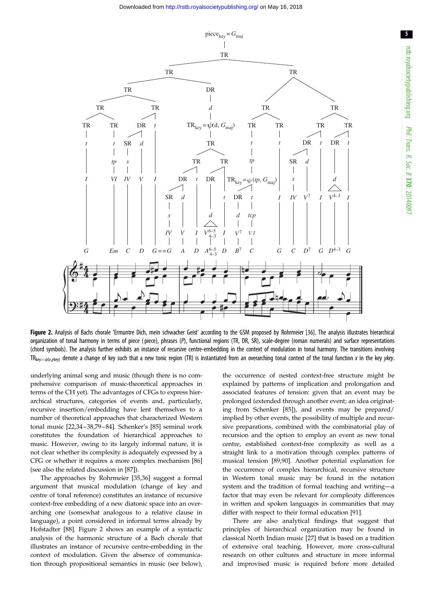

Figure 2. Analysis of Bachs chorale 'Ermuntre Dich, mein schwacher Geist' according to the GSM proposed by Rohrmeier [\[36](#page-12-0)]. The analysis illustrates hierarchical organization of tonal harmony in terms of piece ( piece), phrases (P), functional regions (TR, DR, SR), scale-degree (roman numerals) and surface representations (chord symbols). The analysis further exhibits an instance of recursive centre-embedding in the context of modulation in tonal harmony. The transitions involving  $TR_{key-1}/(x_{\text{vkey}})$  denote a change of key such that a new tonic region (TR) is instantiated from an overarching tonal context of the tonal function x in the key ykey.

underlying animal song and music (though there is no comprehensive comparison of music-theoretical approaches in terms of the CH yet). The advantages of CFGs to express hierarchical structures, categories of events and, particularly, recursive insertion/embedding have lent themselves to a number of theoretical approaches that characterized Western tonal music [[22](#page-12-0),[34](#page-12-0)–[38,](#page-12-0)[79](#page-13-0)–[84](#page-13-0)]. Schenker's [[85](#page-13-0)] seminal work constitutes the foundation of hierarchical approaches to music. However, owing to its largely informal nature, it is not clear whether its complexity is adequately expressed by a CFG or whether it requires a more complex mechanism [[86\]](#page-13-0) (see also the related discussion in [[87\]](#page-13-0)).

The approaches by Rohrmeier [\[35](#page-12-0),[36\]](#page-12-0) suggest a formal argument that musical modulation (change of key and centre of tonal reference) constitutes an instance of recursive context-free embedding of a new diatonic space into an overarching one (somewhat analogous to a relative clause in language), a point considered in informal terms already by Hofstadter [[88\]](#page-13-0). Figure 2 shows an example of a syntactic analysis of the harmonic structure of a Bach chorale that illustrates an instance of recursive centre-embedding in the context of modulation. Given the absence of communication through propositional semantics in music (see below),

the occurrence of nested context-free structure might be explained by patterns of implication and prolongation and associated features of tension: given that an event may be prolonged (extended through another event; an idea originating from Schenker [\[85](#page-13-0)]), and events may be prepared/ implied by other events, the possibility of multiple and recursive preparations, combined with the combinatorial play of recursion and the option to employ an event as new tonal centre, established context-free complexity as well as a straight link to a motivation through complex patterns of musical tension [\[89](#page-13-0),[90\]](#page-13-0). Another potential explanation for the occurrence of complex hierarchical, recursive structure in Western tonal music may be found in the notation system and the tradition of formal teaching and writing—a factor that may even be relevant for complexity differences in written and spoken languages in communities that may differ with respect to their formal education [[91\]](#page-13-0).

There are also analytical findings that suggest that principles of hierarchical organization may be found in classical North Indian music [[27\]](#page-12-0) that is based on a tradition of extensive oral teaching. However, more cross-cultural research on other cultures and structure in more informal and improvised music is required before more detailed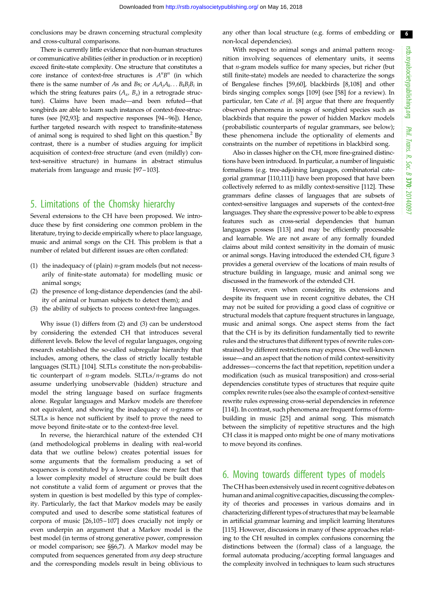conclusions may be drawn concerning structural complexity and cross-cultural comparisons.

There is currently little evidence that non-human structures or communicative abilities (either in production or in reception) exceed finite-state complexity. One structure that constitutes a core instance of context-free structures is  $A^nB^n$  (in which there is the same number of As and Bs; or  $A_iA_jA_k...B_kB_jB_i$  in which the string features pairs  $(A_x, B_x)$  in a retrograde structure). Claims have been made—and been refuted—that songbirds are able to learn such instances of context-free-structures (see [\[92,93\]](#page-13-0); and respective responses [\[94](#page-13-0)–[96\]](#page-13-0)). Hence, further targeted research with respect to transfinite-stateness of animal song is required to shed light on this question.2 By contrast, there is a number of studies arguing for implicit acquisition of context-free structure (and even (mildly) context-sensitive structure) in humans in abstract stimulus materials from language and music [\[97](#page-13-0)-[103\]](#page-13-0).

## 5. Limitations of the Chomsky hierarchy

Several extensions to the CH have been proposed. We introduce these by first considering one common problem in the literature, trying to decide empirically where to place language, music and animal songs on the CH. This problem is that a number of related but different issues are often conflated:

- (1) the inadequacy of (plain)  $n$ -gram models (but not necessarily of finite-state automata) for modelling music or animal songs;
- (2) the presence of long-distance dependencies (and the ability of animal or human subjects to detect them); and
- (3) the ability of subjects to process context-free languages.

Why issue (1) differs from (2) and (3) can be understood by considering the extended CH that introduces several different levels. Below the level of regular languages, ongoing research established the so-called subregular hierarchy that includes, among others, the class of strictly locally testable languages (SLTL) [[104](#page-13-0)]. SLTLs constitute the non-probabilistic counterpart of n-gram models. SLTLs/n-grams do not assume underlying unobservable (hidden) structure and model the string language based on surface fragments alone. Regular languages and Markov models are therefore not equivalent, and showing the inadequacy of  $n$ -grams or SLTLs is hence not sufficient by itself to prove the need to move beyond finite-state or to the context-free level.

In reverse, the hierarchical nature of the extended CH (and methodological problems in dealing with real-world data that we outline below) creates potential issues for some arguments that the formalism producing a set of sequences is constituted by a lower class: the mere fact that a lower complexity model of structure could be built does not constitute a valid form of argument or proves that the system in question is best modelled by this type of complexity. Particularly, the fact that Markov models may be easily computed and used to describe some statistical features of corpora of music [\[26](#page-12-0)[,105](#page-13-0) –[107\]](#page-13-0) does crucially not imply or even underpin an argument that a Markov model is the best model (in terms of strong generative power, compression or model comparison; see §§6,7). A Markov model may be computed from sequences generated from any deep structure and the corresponding models result in being oblivious to

any other than local structure (e.g. forms of embedding or non-local dependencies).

With respect to animal songs and animal pattern recognition involving sequences of elementary units, it seems that  $n$ -gram models suffice for many species, but richer (but still finite-state) models are needed to characterize the songs of Bengalese finches [\[59](#page-12-0),[60\]](#page-12-0), blackbirds [[8](#page-11-0)[,108\]](#page-13-0) and other birds singing complex songs [\[109\]](#page-13-0) (see [[58\]](#page-12-0) for a review). In particular, ten Cate et al. [[8](#page-11-0)] argue that there are frequently observed phenomena in songs of songbird species such as blackbirds that require the power of hidden Markov models (probabilistic counterparts of regular grammars, see below); these phenomena include the optionality of elements and constraints on the number of repetitions in blackbird song.

Also in classes higher on the CH, more fine-grained distinctions have been introduced. In particular, a number of linguistic formalisms (e.g. tree-adjoining languages, combinatorial categorial grammar [\[110,111](#page-13-0)]) have been proposed that have been collectively referred to as mildly context-sensitive [\[112](#page-13-0)]. These grammars define classes of languages that are subsets of context-sensitive languages and supersets of the context-free languages. They share the expressive power to be able to express features such as cross-serial dependencies that human languages possess [\[113](#page-13-0)] and may be efficiently processable and learnable. We are not aware of any formally founded claims about mild context sensitivity in the domain of music or animal songs. Having introduced the extended CH, [figure 3](#page-6-0) provides a general overview of the locations of main results of structure building in language, music and animal song we discussed in the framework of the extended CH.

However, even when considering its extensions and despite its frequent use in recent cognitive debates, the CH may not be suited for providing a good class of cognitive or structural models that capture frequent structures in language, music and animal songs. One aspect stems from the fact that the CH is by its definition fundamentally tied to rewrite rules and the structures that different types of rewrite rules constrained by different restrictions may express. One well-known issue—and an aspect that the notion of mild context-sensitivity addresses—concerns the fact that repetition, repetition under a modification (such as musical transposition) and cross-serial dependencies constitute types of structures that require quite complex rewrite rules (see also the example of context-sensitive rewrite rules expressing cross-serial dependencies in reference [[114](#page-13-0)]). In contrast, such phenomena are frequent forms of formbuilding in music [\[25](#page-12-0)] and animal song. This mismatch between the simplicity of repetitive structures and the high CH class it is mapped onto might be one of many motivations to move beyond its confines.

# 6. Moving towards different types of models

The CH has been extensively used in recent cognitive debates on human and animal cognitive capacities, discussing the complexity of theories and processes in various domains and in characterizing different types of structures that may be learnable in artificial grammar learning and implicit learning literatures [[115\]](#page-13-0). However, discussions in many of these approaches relating to the CH resulted in complex confusions concerning the distinctions between the (formal) class of a language, the formal automata producing/accepting formal languages and the complexity involved in techniques to learn such structures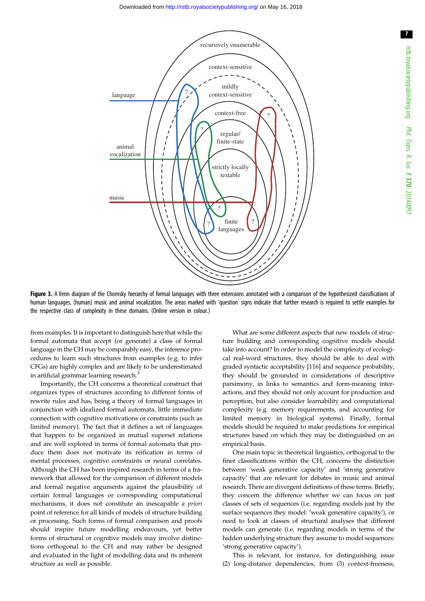<span id="page-6-0"></span>

Figure 3. A Venn diagram of the Chomsky hierarchy of formal languages with three extensions annotated with a comparison of the hypothesized classifications of human languages, (human) music and animal vocalization. The areas marked with 'question' signs indicate that further research is required to settle examples for the respective class of complexity in these domains. (Online version in colour.)

from examples. It is important to distinguish here that while the formal automata that accept (or generate) a class of formal language in the CH may be comparably easy, the inference procedures to learn such structures from examples (e.g. to infer CFGs) are highly complex and are likely to be underestimated in artificial grammar learning research.<sup>3</sup>

Importantly, the CH concerns a theoretical construct that organizes types of structures according to different forms of rewrite rules and has, being a theory of formal languages in conjunction with idealized formal automata, little immediate connection with cognitive motivations or constraints (such as limited memory). The fact that it defines a set of languages that happen to be organized in mutual superset relations and are well explored in terms of formal automata that produce them does not motivate its reification in terms of mental processes, cognitive constraints or neural correlates. Although the CH has been inspired research in terms of a framework that allowed for the comparison of different models and formal negative arguments against the plausibility of certain formal languages or corresponding computational mechanisms, it does not constitute an inescapable a priori point of reference for all kinds of models of structure building or processing. Such forms of formal comparison and proofs should inspire future modelling endeavours, yet better forms of structural or cognitive models may involve distinctions orthogonal to the CH and may rather be designed and evaluated in the light of modelling data and its inherent structure as well as possible.

What are some different aspects that new models of structure building and corresponding cognitive models should take into account? In order to model the complexity of ecological real-word structures, they should be able to deal with graded syntactic acceptability [\[116](#page-13-0)] and sequence probability, they should be grounded in considerations of descriptive parsimony, in links to semantics and form-meaning interactions, and they should not only account for production and perception, but also consider learnability and computational complexity (e.g. memory requirements, and accounting for limited memory in biological systems). Finally, formal models should be required to make predictions for empirical structures based on which they may be distinguished on an empirical basis.

One main topic in theoretical linguistics, orthogonal to the finer classifications within the CH, concerns the distinction between 'weak generative capacity' and 'strong generative capacity' that are relevant for debates in music and animal research. There are divergent definitions of these terms. Briefly, they concern the difference whether we can focus on just classes of sets of sequences (i.e. regarding models just by the surface sequences they model: 'weak generative capacity'), or need to look at classes of structural analyses that different models can generate (i.e. regarding models in terms of the hidden underlying structure they assume to model sequences: 'strong generative capacity').

This is relevant, for instance, for distinguishing issue (2) long-distance dependencies, from (3) context-freeness,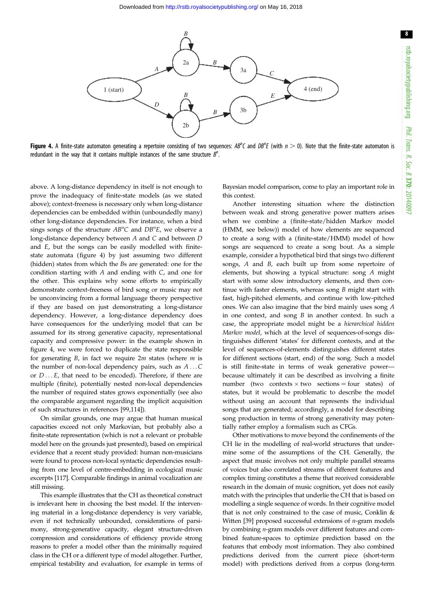8



Figure 4. A finite-state automaton generating a repertoire consisting of two sequences:  $AB^{\eta}C$  and  $DB^{\eta}E$  (with  $n > 0$ ). Note that the finite-state automaton is redundant in the way that it contains multiple instances of the same structure  $B^n$ .

above. A long-distance dependency in itself is not enough to prove the inadequacy of finite-state models (as we stated above); context-freeness is necessary only when long-distance dependencies can be embedded within (unboundedly many) other long-distance dependencies. For instance, when a bird sings songs of the structure  $AB^nC$  and  $DB^nE$ , we observe a long-distance dependency between A and C and between D and E, but the songs can be easily modelled with finitestate automata (figure 4) by just assuming two different (hidden) states from which the Bs are generated: one for the condition starting with A and ending with C, and one for the other. This explains why some efforts to empirically demonstrate context-freeness of bird song or music may not be unconvincing from a formal language theory perspective if they are based on just demonstrating a long-distance dependency. However, a long-distance dependency does have consequences for the underlying model that can be assumed for its strong generative capacity, representational capacity and compressive power: in the example shown in figure 4, we were forced to duplicate the state responsible for generating  $B$ , in fact we require  $2m$  states (where  $m$  is the number of non-local dependency pairs, such as  $A \dots C$ or  $D \ldots E$ , that need to be encoded). Therefore, if there are multiple (finite), potentially nested non-local dependencies the number of required states grows exponentially (see also the comparable argument regarding the implicit acquisition of such structures in references [[99,114\]](#page-13-0)).

On similar grounds, one may argue that human musical capacities exceed not only Markovian, but probably also a finite-state representation (which is not a relevant or probable model here on the grounds just presented), based on empirical evidence that a recent study provided: human non-musicians were found to process non-local syntactic dependencies resulting from one level of centre-embedding in ecological music excerpts [\[117\]](#page-13-0). Comparable findings in animal vocalization are still missing.

This example illustrates that the CH as theoretical construct is irrelevant here in choosing the best model. If the intervening material in a long-distance dependency is very variable, even if not technically unbounded, considerations of parsimony, strong-generative capacity, elegant structure-driven compression and considerations of efficiency provide strong reasons to prefer a model other than the minimally required class in the CH or a different type of model altogether. Further, empirical testability and evaluation, for example in terms of Bayesian model comparison, come to play an important role in this context.

Another interesting situation where the distinction between weak and strong generative power matters arises when we combine a (finite-state/hidden Markov model (HMM, see below)) model of how elements are sequenced to create a song with a (finite-state/HMM) model of how songs are sequenced to create a song bout. As a simple example, consider a hypothetical bird that sings two different songs, A and B, each built up from some repertoire of elements, but showing a typical structure: song A might start with some slow introductory elements, and then continue with faster elements, whereas song B might start with fast, high-pitched elements, and continue with low-pitched ones. We can also imagine that the bird mainly uses song A in one context, and song  $B$  in another context. In such a case, the appropriate model might be a hierarchical hidden Markov model, which at the level of sequences-of-songs distinguishes different 'states' for different contexts, and at the level of sequences-of-elements distinguishes different states for different sections (start, end) of the song. Such a model is still finite-state in terms of weak generative power because ultimately it can be described as involving a finite number (two contexts  $\times$  two sections = four states) of states, but it would be problematic to describe the model without using an account that represents the individual songs that are generated; accordingly, a model for describing song production in terms of strong generativity may potentially rather employ a formalism such as CFGs.

Other motivations to move beyond the confinements of the CH lie in the modelling of real-world structures that undermine some of the assumptions of the CH. Generally, the aspect that music involves not only multiple parallel streams of voices but also correlated streams of different features and complex timing constitutes a theme that received considerable research in the domain of music cognition, yet does not easily match with the principles that underlie the CH that is based on modelling a single sequence of words. In their cognitive model that is not only constrained to the case of music, Conklin & Witten [[39\]](#page-12-0) proposed successful extensions of  $n$ -gram models by combining n-gram models over different features and combined feature-spaces to optimize prediction based on the features that embody most information. They also combined predictions derived from the current piece (short-term model) with predictions derived from a corpus (long-term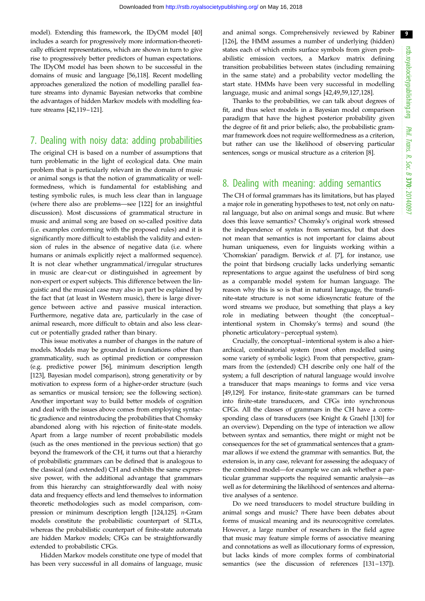9

model). Extending this framework, the IDyOM model [[40\]](#page-12-0) includes a search for progressively more information-theoretically efficient representations, which are shown in turn to give rise to progressively better predictors of human expectations. The IDyOM model has been shown to be successful in the domains of music and language [[56,](#page-12-0)[118\]](#page-13-0). Recent modelling approaches generalized the notion of modelling parallel feature streams into dynamic Bayesian networks that combine the advantages of hidden Markov models with modelling feature streams [\[42](#page-12-0)[,119](#page-13-0)–[121\]](#page-14-0).

## 7. Dealing with noisy data: adding probabilities

The original CH is based on a number of assumptions that turn problematic in the light of ecological data. One main problem that is particularly relevant in the domain of music or animal songs is that the notion of grammaticality or wellformedness, which is fundamental for establishing and testing symbolic rules, is much less clear than in language (where there also are problems—see [\[122\]](#page-14-0) for an insightful discussion). Most discussions of grammatical structure in music and animal song are based on so-called positive data (i.e. examples conforming with the proposed rules) and it is significantly more difficult to establish the validity and extension of rules in the absence of negative data (i.e. where humans or animals explicitly reject a malformed sequence). It is not clear whether ungrammatical/irregular structures in music are clear-cut or distinguished in agreement by non-expert or expert subjects. This difference between the linguistic and the musical case may also in part be explained by the fact that (at least in Western music), there is large divergence between active and passive musical interaction. Furthermore, negative data are, particularly in the case of animal research, more difficult to obtain and also less clearcut or potentially graded rather than binary.

This issue motivates a number of changes in the nature of models. Models may be grounded in foundations other than grammaticality, such as optimal prediction or compression (e.g. predictive power [\[56\]](#page-12-0), minimum description length [\[123\]](#page-14-0), Bayesian model comparison), strong generativity or by motivation to express form of a higher-order structure (such as semantics or musical tension; see the following section). Another important way to build better models of cognition and deal with the issues above comes from employing syntactic gradience and reintroducing the probabilities that Chomsky abandoned along with his rejection of finite-state models. Apart from a large number of recent probabilistic models (such as the ones mentioned in the previous section) that go beyond the framework of the CH, it turns out that a hierarchy of probabilistic grammars can be defined that is analogous to the classical (and extended) CH and exhibits the same expressive power, with the additional advantage that grammars from this hierarchy can straightforwardly deal with noisy data and frequency effects and lend themselves to information theoretic methodologies such as model comparison, compression or minimum description length [\[124](#page-14-0),[125\]](#page-14-0). n-Gram models constitute the probabilistic counterpart of SLTLs, whereas the probabilistic counterpart of finite-state automata are hidden Markov models; CFGs can be straightforwardly extended to probabilistic CFGs.

Hidden Markov models constitute one type of model that has been very successful in all domains of language, music

and animal songs. Comprehensively reviewed by Rabiner [[126](#page-14-0)], the HMM assumes a number of underlying (hidden) states each of which emits surface symbols from given probabilistic emission vectors, a Markov matrix defining transition probabilities between states (including remaining in the same state) and a probability vector modelling the start state. HMMs have been very successful in modelling language, music and animal songs [\[42,49](#page-12-0),[59,](#page-12-0)[127](#page-14-0),[128](#page-14-0)].

Thanks to the probabilities, we can talk about degrees of fit, and thus select models in a Bayesian model comparison paradigm that have the highest posterior probability given the degree of fit and prior beliefs; also, the probabilistic grammar framework does not require wellformedness as a criterion, but rather can use the likelihood of observing particular sentences, songs or musical structure as a criterion [\[8](#page-11-0)].

## 8. Dealing with meaning: adding semantics

The CH of formal grammars has its limitations, but has played a major role in generating hypotheses to test, not only on natural language, but also on animal songs and music. But where does this leave semantics? Chomsky's original work stressed the independence of syntax from semantics, but that does not mean that semantics is not important for claims about human uniqueness, even for linguists working within a 'Chomskian' paradigm. Berwick et al. [\[7\]](#page-11-0), for instance, use the point that birdsong crucially lacks underlying semantic representations to argue against the usefulness of bird song as a comparable model system for human language. The reason why this is so is that in natural language, the transfinite-state structure is not some idiosyncratic feature of the word streams we produce, but something that plays a key role in mediating between thought (the conceptual– intentional system in Chomsky's terms) and sound (the phonetic articulatory–perceptual system).

Crucially, the conceptual–intentional system is also a hierarchical, combinatorial system (most often modelled using some variety of symbolic logic). From that perspective, grammars from the (extended) CH describe only one half of the system; a full description of natural language would involve a transducer that maps meanings to forms and vice versa [[49](#page-12-0),[129\]](#page-14-0). For instance, finite-state grammars can be turned into finite-state transducers, and CFGs into synchronous CFGs. All the classes of grammars in the CH have a corresponding class of transducers (see Knight & Graehl [\[130\]](#page-14-0) for an overview). Depending on the type of interaction we allow between syntax and semantics, there might or might not be consequences for the set of grammatical sentences that a grammar allows if we extend the grammar with semantics. But, the extension is, in any case, relevant for assessing the adequacy of the combined model—for example we can ask whether a particular grammar supports the required semantic analysis—as well as for determining the likelihood of sentences and alternative analyses of a sentence.

Do we need transducers to model structure building in animal songs and music? There have been debates about forms of musical meaning and its neurocognitive correlates. However, a large number of researchers in the field agree that music may feature simple forms of associative meaning and connotations as well as illocutionary forms of expression, but lacks kinds of more complex forms of combinatorial semantics (see the discussion of references [[131](#page-14-0)–[137\]](#page-14-0)).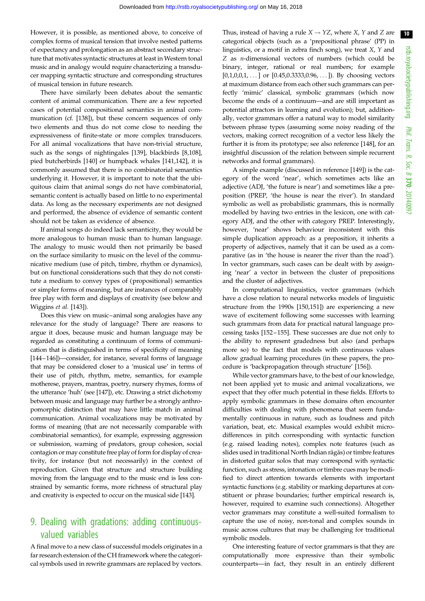However, it is possible, as mentioned above, to conceive of complex forms of musical tension that involve nested patterns of expectancy and prolongation as an abstract secondary structure that motivates syntactic structures at least in Western tonal music and in analogy would require characterizing a transducer mapping syntactic structure and corresponding structures of musical tension in future research.

There have similarly been debates about the semantic content of animal communication. There are a few reported cases of potential compositional semantics in animal communication (cf. [[138](#page-14-0)]), but these concern sequences of only two elements and thus do not come close to needing the expressiveness of finite-state or more complex transducers. For all animal vocalizations that have non-trivial structure, such as the songs of nightingales [\[139\]](#page-14-0), blackbirds [\[8,](#page-11-0)[108](#page-13-0)], pied butcherbirds [[140](#page-14-0)] or humpback whales [[141,142\]](#page-14-0), it is commonly assumed that there is no combinatorial semantics underlying it. However, it is important to note that the ubiquitous claim that animal songs do not have combinatorial, semantic content is actually based on little to no experimental data. As long as the necessary experiments are not designed and performed, the absence of evidence of semantic content should not be taken as evidence of absence.

If animal songs do indeed lack semanticity, they would be more analogous to human music than to human language. The analogy to music would then not primarily be based on the surface similarity to music on the level of the communicative medium (use of pitch, timbre, rhythm or dynamics), but on functional considerations such that they do not constitute a medium to convey types of (propositional) semantics or simpler forms of meaning, but are instances of comparably free play with form and displays of creativity (see below and Wiggins et al. [\[143\]](#page-14-0)).

Does this view on music–animal song analogies have any relevance for the study of language? There are reasons to argue it does, because music and human language may be regarded as constituting a continuum of forms of communication that is distinguished in terms of specificity of meaning [\[144](#page-14-0)–[146](#page-14-0)])—consider, for instance, several forms of language that may be considered closer to a 'musical use' in terms of their use of pitch, rhythm, metre, semantics, for example motherese, prayers, mantras, poetry, nursery rhymes, forms of the utterance 'huh' (see [[147](#page-14-0)]), etc. Drawing a strict dichotomy between music and language may further be a strongly anthropomorphic distinction that may have little match in animal communication. Animal vocalizations may be motivated by forms of meaning (that are not necessarily comparable with combinatorial semantics), for example, expressing aggression or submission, warning of predators, group cohesion, social contagion or may constitute free play of form for display of creativity, for instance (but not necessarily) in the context of reproduction. Given that structure and structure building moving from the language end to the music end is less constrained by semantic forms, more richness of structural play and creativity is expected to occur on the musical side [\[143\]](#page-14-0).

## 9. Dealing with gradations: adding continuousvalued variables

A final move to a new class of successful models originates in a far research extension of the CH framework where the categorical symbols used in rewrite grammars are replaced by vectors. Thus, instead of having a rule  $X \rightarrow YZ$ , where X, Y and Z are categorical objects (such as a 'prepositional phrase' (PP) in linguistics, or a motif in zebra finch song), we treat  $X$ ,  $Y$  and Z as n-dimensional vectors of numbers (which could be binary, integer, rational or real numbers; for example  $[0,1,0,0,1,...]$  or  $[0.45,0.3333,0.96,...]$ . By choosing vectors at maximum distance from each other such grammars can perfectly 'mimic' classical, symbolic grammars (which now become the ends of a continuum—and are still important as potential attractors in learning and evolution); but, additionally, vector grammars offer a natural way to model similarity between phrase types (assuming some noisy reading of the vectors, making correct recognition of a vector less likely the further it is from its prototype; see also reference [\[148\]](#page-14-0), for an insightful discussion of the relation between simple recurrent networks and formal grammars).

A simple example (discussed in reference [[149](#page-14-0)]) is the category of the word 'near', which sometimes acts like an adjective (ADJ, 'the future is near') and sometimes like a preposition (PREP, 'the house is near the river'). In standard symbolic as well as probabilistic grammars, this is normally modelled by having two entries in the lexicon, one with category ADJ, and the other with category PREP. Interestingly, however, 'near' shows behaviour inconsistent with this simple duplication approach: as a preposition, it inherits a property of adjectives, namely that it can be used as a comparative (as in 'the house is nearer the river than the road'). In vector grammars, such cases can be dealt with by assigning 'near' a vector in between the cluster of prepositions and the cluster of adjectives.

In computational linguistics, vector grammars (which have a close relation to neural networks models of linguistic structure from the 1990s [[150,151\]](#page-14-0)) are experiencing a new wave of excitement following some successes with learning such grammars from data for practical natural language processing tasks [[152](#page-14-0) –[155](#page-14-0)]. These successes are due not only to the ability to represent gradedness but also (and perhaps more so) to the fact that models with continuous values allow gradual learning procedures (in these papers, the procedure is 'backpropagation through structure' [\[156\]](#page-14-0)).

While vector grammars have, to the best of our knowledge, not been applied yet to music and animal vocalizations, we expect that they offer much potential in these fields. Efforts to apply symbolic grammars in these domains often encounter difficulties with dealing with phenomena that seem fundamentally continuous in nature, such as loudness and pitch variation, beat, etc. Musical examples would exhibit microdifferences in pitch corresponding with syntactic function (e.g. raised leading notes), complex note features (such as slides used in traditional North Indian rāgās) or timbre features in distorted guitar solos that may correspond with syntactic function, such as stress, intonation or timbre cues may be modified to direct attention towards elements with important syntactic functions (e.g. stability or marking departures at constituent or phrase boundaries; further empirical research is, however, required to examine such connections). Altogether vector grammars may constitute a well-suited formalism to capture the use of noisy, non-tonal and complex sounds in music across cultures that may be challenging for traditional symbolic models.

One interesting feature of vector grammars is that they are computationally more expressive than their symbolic counterparts—in fact, they result in an entirely different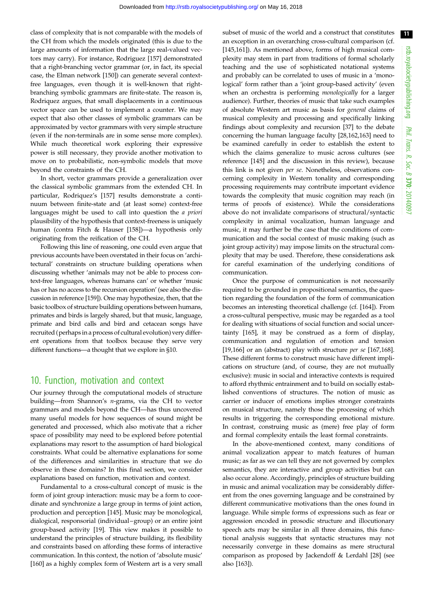class of complexity that is not comparable with the models of the CH from which the models originated (this is due to the large amounts of information that the large real-valued vectors may carry). For instance, Rodriguez [[157](#page-14-0)] demonstrated that a right-branching vector grammar (or, in fact, its special case, the Elman network [[150](#page-14-0)]) can generate several contextfree languages, even though it is well-known that rightbranching symbolic grammars are finite-state. The reason is, Rodriquez argues, that small displacements in a continuous vector space can be used to implement a counter. We may expect that also other classes of symbolic grammars can be approximated by vector grammars with very simple structure (even if the non-terminals are in some sense more complex). While much theoretical work exploring their expressive power is still necessary, they provide another motivation to move on to probabilistic, non-symbolic models that move beyond the constraints of the CH.

In short, vector grammars provide a generalization over the classical symbolic grammars from the extended CH. In particular, Rodriquez's [\[157\]](#page-14-0) results demonstrate a continuum between finite-state and (at least some) context-free languages might be used to call into question the a priori plausibility of the hypothesis that context-freeness is uniquely human (contra Fitch & Hauser [[158](#page-14-0)])—a hypothesis only originating from the reification of the CH.

Following this line of reasoning, one could even argue that previous accounts have been overstated in their focus on 'architectural' constraints on structure building operations when discussing whether 'animals may not be able to process context-free languages, whereas humans can' or whether 'music has or has no access to the recursion operation' (see also the discussion in reference [\[159](#page-14-0)]). One may hypothesize, then, that the basic toolbox of structure building operations between humans, primates and birds is largely shared, but that music, language, primate and bird calls and bird and cetacean songs have recruited (perhaps in a process of cultural evolution) very different operations from that toolbox because they serve very different functions—a thought that we explore in §10.

### 10. Function, motivation and context

Our journey through the computational models of structure building—from Shannon's n-grams, via the CH to vector grammars and models beyond the CH—has thus uncovered many useful models for how sequences of sound might be generated and processed, which also motivate that a richer space of possibility may need to be explored before potential explanations may resort to the assumption of hard biological constraints. What could be alternative explanations for some of the differences and similarities in structure that we do observe in these domains? In this final section, we consider explanations based on function, motivation and context.

Fundamental to a cross-cultural concept of music is the form of joint group interaction: music may be a form to coordinate and synchronize a large group in terms of joint action, production and perception [[145](#page-14-0)]. Music may be monological, dialogical, responsorial (individual –group) or an entire joint group-based activity [[19\]](#page-12-0). This view makes it possible to understand the principles of structure building, its flexibility and constraints based on affording these forms of interactive communication. In this context, the notion of 'absolute music' [\[160\]](#page-14-0) as a highly complex form of Western art is a very small

subset of music of the world and a construct that constitutes an exception in an overarching cross-cultural comparison (cf. [[145,161\]](#page-14-0)). As mentioned above, forms of high musical complexity may stem in part from traditions of formal scholarly teaching and the use of sophisticated notational systems and probably can be correlated to uses of music in a 'monological' form rather than a 'joint group-based activity' (even when an orchestra is performing monologically for a larger audience). Further, theories of music that take such examples of absolute Western art music as basis for general claims of musical complexity and processing and specifically linking findings about complexity and recursion [\[37](#page-12-0)] to the debate concerning the human language faculty [[28,](#page-12-0)[162,163\]](#page-14-0) need to be examined carefully in order to establish the extent to which the claims generalize to music across cultures (see reference [\[145\]](#page-14-0) and the discussion in this review), because this link is not given per se. Nonetheless, observations concerning complexity in Western tonality and corresponding processing requirements may contribute important evidence towards the complexity that music cognition may reach (in terms of proofs of existence). While the considerations above do not invalidate comparisons of structural/syntactic complexity in animal vocalization, human language and music, it may further be the case that the conditions of communication and the social context of music making (such as joint group activity) may impose limits on the structural complexity that may be used. Therefore, these considerations ask for careful examination of the underlying conditions of communication.

Once the purpose of communication is not necessarily required to be grounded in propositional semantics, the question regarding the foundation of the form of communication becomes an interesting theoretical challenge (cf. [\[164\]](#page-14-0)). From a cross-cultural perspective, music may be regarded as a tool for dealing with situations of social function and social uncertainty [\[165\]](#page-14-0), it may be construed as a form of display, communication and regulation of emotion and tension [[19,](#page-12-0)[166](#page-14-0)] or an (abstract) play with structure *per se* [\[167,168\]](#page-14-0). These different forms to construct music have different implications on structure (and, of course, they are not mutually exclusive): music in social and interactive contexts is required to afford rhythmic entrainment and to build on socially established conventions of structures. The notion of music as carrier or inducer of emotions implies stronger constraints on musical structure, namely those the processing of which results in triggering the corresponding emotional mixture. In contrast, construing music as (mere) free play of form and formal complexity entails the least formal constraints.

In the above-mentioned context, many conditions of animal vocalization appear to match features of human music; as far as we can tell they are not governed by complex semantics, they are interactive and group activities but can also occur alone. Accordingly, principles of structure building in music and animal vocalization may be considerably different from the ones governing language and be constrained by different communicative motivations than the ones found in language. While simple forms of expressions such as fear or aggression encoded in prosodic structure and illocutionary speech acts may be similar in all three domains, this functional analysis suggests that syntactic structures may not necessarily converge in these domains as mere structural comparison as proposed by Jackendoff & Lerdahl [[28\]](#page-12-0) (see also [\[163\]](#page-14-0)).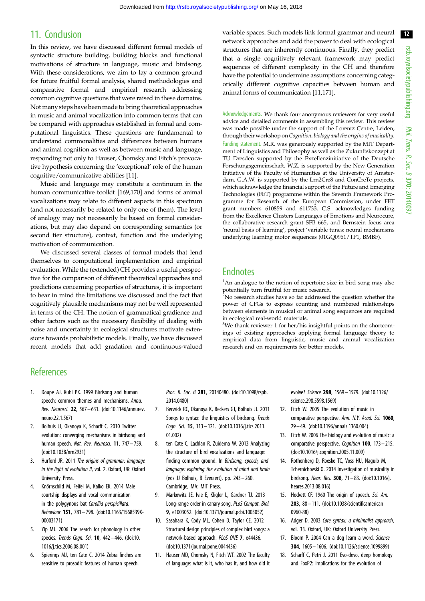12

## <span id="page-11-0"></span>11. Conclusion

In this review, we have discussed different formal models of syntactic structure building, building blocks and functional motivations of structure in language, music and birdsong. With these considerations, we aim to lay a common ground for future fruitful formal analysis, shared methodologies and comparative formal and empirical research addressing common cognitive questions that were raised in these domains. Not many steps have been made to bring theoretical approaches in music and animal vocalization into common terms that can be compared with approaches established in formal and computational linguistics. These questions are fundamental to understand commonalities and differences between humans and animal cognition as well as between music and language, responding not only to Hauser, Chomsky and Fitch's provocative hypothesis concerning the 'exceptional' role of the human cognitive/communicative abilities [11].

Music and language may constitute a continuum in the human communicative toolkit [\[169,170](#page-14-0)] and forms of animal vocalizations may relate to different aspects in this spectrum (and not necessarily be related to only one of them). The level of analogy may not necessarily be based on formal considerations, but may also depend on corresponding semantics (or second tier structure), context, function and the underlying motivation of communication.

We discussed several classes of formal models that lend themselves to computational implementation and empirical evaluation. While the (extended) CH provides a useful perspective for the comparison of different theoretical approaches and predictions concerning properties of structures, it is important to bear in mind the limitations we discussed and the fact that cognitively plausible mechanisms may not be well represented in terms of the CH. The notion of grammatical gradience and other factors such as the necessary flexibility of dealing with noise and uncertainty in ecological structures motivate extensions towards probabilistic models. Finally, we have discussed recent models that add gradation and continuous-valued

variable spaces. Such models link formal grammar and neural network approaches and add the power to deal with ecological structures that are inherently continuous. Finally, they predict that a single cognitively relevant framework may predict sequences of different complexity in the CH and therefore have the potential to undermine assumptions concerning categorically different cognitive capacities between human and animal forms of communication [11,[171\]](#page-14-0).

Acknowledgements. We thank four anonymous reviewers for very useful advice and detailed comments in assembling this review. This review was made possible under the support of the Lorentz Centre, Leiden, through their workshop on Cognition, biology and the origins of musicality. Funding statement. M.R. was generously supported by the MIT Department of Linguistics and Philosophy as well as the Zukunftskonzept at TU Dresden supported by the Exzellenzinitiative of the Deutsche Forschungsgemeinschaft. W.Z. is supported by the New Generation Initiative of the Faculty of Humanities at the University of Amsterdam. G.A.W. is supported by the Lrn2Cre8 and ConCreTe projects, which acknowledge the financial support of the Future and Emerging Technologies (FET) programme within the Seventh Framework Programme for Research of the European Commission, under FET grant numbers 610859 and 611733. C.S. acknowledges funding from the Excellence Clusters Languages of Emotions and Neurocure, the collaborative research grant SFB 665, and Bernstein focus area 'neural basis of learning', project 'variable tunes: neural mechanisms underlying learning motor sequences (01GQ0961/TP1, BMBF).

## **Endnotes**

<sup>1</sup>An analogue to the notion of repertoire size in bird song may also potentially turn fruitful for music research.

<sup>2</sup>No research studies have so far addressed the question whether the power of CFGs to express counting and numbered relationships between elements in musical or animal song sequences are required in ecological real-world materials.

 $3$ We thank reviewer 1 for her/his insightful points on the shortcomings of existing approaches applying formal language theory to empirical data from linguistic, music and animal vocalization research and on requirements for better models.

## **References**

- 1. Doupe AJ, Kuhl PK. 1999 Birdsong and human speech: common themes and mechanisms. Annu. Rev. Neurosci. 22, 567– 631. ([doi:10.1146/annurev.](http://dx.doi.org/10.1146/annurev.neuro.22.1.567) [neuro.22.1.567](http://dx.doi.org/10.1146/annurev.neuro.22.1.567))
- 2. Bolhuis JJ, Okanoya K, Scharff C. 2010 Twitter evolution: converging mechanisms in birdsong and human speech. Nat. Rev. Neurosci. 11, 747-759. [\(doi:10.1038/nrn2931\)](http://dx.doi.org/10.1038/nrn2931)
- 3. Hurford JR. 2011 The origins of grammar: language in the light of evolution II, vol. 2. Oxford, UK: Oxford University Press.
- 4. Knörnschild M, Feifel M, Kalko EK. 2014 Male courtship displays and vocal communication in the polygynous bat Carollia perspicillata. Behaviour 151, 781– 798. [\(doi:10.1163/1568539X-](http://dx.doi.org/10.1163/1568539X-00003171)[00003171](http://dx.doi.org/10.1163/1568539X-00003171))
- 5. Yip MJ. 2006 The search for phonology in other species. Trends Cogn. Sci. **10**, 442-446. ([doi:10.](http://dx.doi.org/10.1016/j.tics.2006.08.001) [1016/j.tics.2006.08.001\)](http://dx.doi.org/10.1016/j.tics.2006.08.001)
- 6. Spierings MJ, ten Cate C. 2014 Zebra finches are sensitive to prosodic features of human speech.

Proc. R. Soc. B 281, 20140480. [\(doi:10.1098/rspb.](http://dx.doi.org/10.1098/rspb.2014.0480) [2014.0480\)](http://dx.doi.org/10.1098/rspb.2014.0480)

- 7. Berwick RC, Okanoya K, Beckers GJ, Bolhuis JJ. 2011 Songs to syntax: the linguistics of birdsong. Trends Cogn. Sci. 15, 113 – 121. [\(doi:10.1016/j.tics.2011.](http://dx.doi.org/10.1016/j.tics.2011.01.002) [01.002](http://dx.doi.org/10.1016/j.tics.2011.01.002))
- 8. ten Cate C, Lachlan R, Zuidema W. 2013 Analyzing the structure of bird vocalizations and language: finding common ground. In Birdsong, speech, and language: exploring the evolution of mind and brain (eds JJ Bolhuis, B Everaert), pp. 243– 260. Cambridge, MA: MIT Press.
- 9. Markowitz JE, Ivie E, Kligler L, Gardner TJ. 2013 Long-range order in canary song. PLoS Comput. Biol. 9, e1003052. [\(doi:10.1371/journal.pcbi.1003052](http://dx.doi.org/10.1371/journal.pcbi.1003052))
- 10. Sasahara K, Cody ML, Cohen D, Taylor CE. 2012 Structural design principles of complex bird songs: a network-based approach. PLoS ONE 7, e44436. [\(doi:10.1371/journal.pone.0044436\)](http://dx.doi.org/10.1371/journal.pone.0044436)
- 11. Hauser MD, Chomsky N, Fitch WT. 2002 The faculty of language: what is it, who has it, and how did it

evolve? Science 298, 1569– 1579. ([doi:10.1126/](http://dx.doi.org/10.1126/science.298.5598.1569) [science.298.5598.1569](http://dx.doi.org/10.1126/science.298.5598.1569))

- 12. Fitch W. 2005 The evolution of music in comparative perspective. Ann. N.Y. Acad. Sci. 1060, 29– 49. [\(doi:10.1196/annals.1360.004\)](http://dx.doi.org/10.1196/annals.1360.004)
- 13. Fitch W. 2006 The biology and evolution of music: a comparative perspective. Cognition 100, 173 - 215. ([doi:10.1016/j.cognition.2005.11.009\)](http://dx.doi.org/10.1016/j.cognition.2005.11.009)
- 14. Rothenberg D, Roeske TC, Voss HU, Naguib M, Tchernichovski O. 2014 Investigation of musicality in birdsong. Hear. Res. 308, 71-83. ([doi:10.1016/j.](http://dx.doi.org/10.1016/j.heares.2013.08.016) [heares.2013.08.016\)](http://dx.doi.org/10.1016/j.heares.2013.08.016)
- 15. Hockett CF. 1960 The origin of speech. Sci. Am. 203, 88– 111. ([doi:10.1038/scientificamerican](http://dx.doi.org/10.1038/scientificamerican0960-88) [0960-88](http://dx.doi.org/10.1038/scientificamerican0960-88))
- 16. Adger D. 2003 Core syntax: a minimalist approach, vol. 33. Oxford, UK: Oxford University Press.
- 17. Bloom P. 2004 Can a dog learn a word. Science 304, 1605– 1606. ([doi:10.1126/science.1099899](http://dx.doi.org/10.1126/science.1099899))
- 18. Scharff C, Petri J. 2011 Evo-devo, deep homology and FoxP2: implications for the evolution of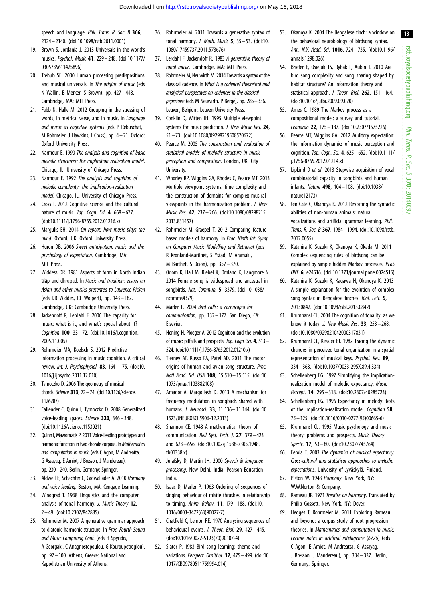<span id="page-12-0"></span>speech and language. Phil. Trans. R. Soc. B 366, 2124 – 2140. [\(doi:10.1098/rstb.2011.0001\)](http://dx.doi.org/10.1098/rstb.2011.0001)

- 19. Brown S, Jordania J. 2013 Universals in the world's musics. Psychol. Music 41, 229– 248. ([doi:10.1177/](http://dx.doi.org/10.1177/0305735611425896) [0305735611425896](http://dx.doi.org/10.1177/0305735611425896))
- 20. Trehub SE. 2000 Human processing predispositions and musical universals. In The origins of music (eds N Wallin, B Merker, S Brown), pp. 427 – 448. Cambridge, MA: MIT Press.
- 21. Fabb N, Halle M. 2012 Grouping in the stressing of words, in metrical verse, and in music. In Language and music as cognitive systems (eds P Rebuschat, M Rohmeier, J Hawkins, I Cross), pp. 4 – 21. Oxford: Oxford University Press.
- 22. Narmour E. 1990 The analysis and cognition of basic melodic structures: the implication realization model. Chicago, IL: University of Chicago Press.
- 23. Narmour E. 1992 The analysis and cognition of melodic complexity: the implication-realization model. Chicago, IL: University of Chicago Press.
- 24. Cross I. 2012 Cognitive science and the cultural nature of music. Top. Cogn. Sci. 4, 668-677. [\(doi:10.1111/j.1756-8765.2012.01216.x](http://dx.doi.org/10.1111/j.1756-8765.2012.01216.x))
- 25. Margulis EH. 2014 On repeat: how music plays the mind. Oxford, UK: Oxford University Press.
- 26. Huron DB. 2006 Sweet anticipation: music and the psychology of expectation. Cambridge, MA: MIT Press.
- 27. Widdess DR. 1981 Aspects of form in North Indian ālāp and dhrupad. In Music and tradition: essays on Asian and other musics presented to Laurence Picken (eds DR Widdes, RF Wolpert), pp. 143– 182. Cambridge, UK: Cambridge University Press.
- 28. Jackendoff R, Lerdahl F. 2006 The capacity for music: what is it, and what's special about it? Cognition 100, 33 – 72. ([doi:10.1016/j.cognition.](http://dx.doi.org/10.1016/j.cognition.2005.11.005) [2005.11.005\)](http://dx.doi.org/10.1016/j.cognition.2005.11.005)
- 29. Rohrmeier MA, Koelsch S. 2012 Predictive information processing in music cognition. A critical review. Int. J. Psychophysiol. 83, 164– 175. ([doi:10.](http://dx.doi.org/10.1016/j.ijpsycho.2011.12.010) [1016/j.ijpsycho.2011.12.010\)](http://dx.doi.org/10.1016/j.ijpsycho.2011.12.010)
- 30. Tymoczko D. 2006 The geometry of musical chords. Science 313, 72–74. [\(doi:10.1126/science.](http://dx.doi.org/10.1126/science.1126287) [1126287\)](http://dx.doi.org/10.1126/science.1126287)
- 31. Callender C, Quinn I, Tymoczko D. 2008 Generalized voice-leading spaces. Science 320, 346 – 348. [\(doi:10.1126/science.1153021\)](http://dx.doi.org/10.1126/science.1153021)
- 32. Quinn I, Mavromatis P. 2011 Voice-leading prototypes and harmonic function in two chorale corpora. In Mathematics and computation in music (eds C Agon, M Andreatta, G Assayag, E Amiot, J Bresson, J Mandereau), pp. 230–240. Berlin, Germany: Springer.
- 33. Aldwell E, Schachter C, Cadwallader A. 2010 Harmony and voice leading. Boston, MA: Cengage Learning.
- 34. Winograd T. 1968 Linguistics and the computer analysis of tonal harmony. J. Music Theory 12, 2– 49. [\(doi:10.2307/842885](http://dx.doi.org/10.2307/842885))
- 35. Rohrmeier M. 2007 A generative grammar approach to diatonic harmonic structure. In Proc. Fourth Sound and Music Computing Conf. (eds H Spyridis, A Georgaki, C Anagnostopoulou, G Kouroupetroglou), pp. 97–100. Athens, Greece: National and Kapodistrian University of Athens.
- 36. Rohrmeier M. 2011 Towards a generative syntax of tonal harmony. J. Math. Music 5, 35 – 53. [\(doi:10.](http://dx.doi.org/10.1080/17459737.2011.573676) [1080/17459737.2011.573676\)](http://dx.doi.org/10.1080/17459737.2011.573676)
- 37. Lerdahl F, Jackendoff R. 1983 A generative theory of tonal music. Cambridge, MA: MIT Press.
- 38. Rohrmeier M, Neuwirth M. 2014 Towards a syntax of the classical cadence. In What is a cadence? theoretical and analytical perspectives on cadences in the classical pepertoire (eds M Neuwirth, P Bergé), pp. 285 - 336. Leuven, Belgium: Leuven University Press.
- 39. Conklin D, Witten IH. 1995 Multiple viewpoint systems for music prediction. J. New Music Res. 24, 51 – 73. ([doi:10.1080/09298219508570672](http://dx.doi.org/10.1080/09298219508570672))
- 40. Pearce M. 2005 The construction and evaluation of statistical models of melodic structure in music perception and composition. London, UK: City University.
- 41. Whorley RP, Wiggins GA, Rhodes C, Pearce MT. 2013 Multiple viewpoint systems: time complexity and the construction of domains for complex musical viewpoints in the harmonization problem. J. New Music Res. 42, 237– 266. ([doi:10.1080/09298215.](http://dx.doi.org/10.1080/09298215.2013.831457) [2013.831457](http://dx.doi.org/10.1080/09298215.2013.831457))
- 42. Rohrmeier M, Graepel T. 2012 Comparing featurebased models of harmony. In Proc. Ninth Int. Symp. on Computer Music Modelling and Retrieval (eds R Kronland-Martinet, S Ystad, M Aramaki, M Barthet, S Dixon), pp. 357– 370.
- 43. Odom K, Hall M, Riebel K, Omland K, Langmore N. 2014 Female song is widespread and ancestral in songbirds. Nat. Commun. 5, 3379. [\(doi:10.1038/](http://dx.doi.org/10.1038/ncomms4379) [ncomms4379\)](http://dx.doi.org/10.1038/ncomms4379)
- 44. Marler P. 2004 Bird calls: a cornucopia for communication, pp. 132– 177. San Diego, CA: Elsevier.
- 45. Honing H, Ploeger A. 2012 Cognition and the evolution of music: pitfalls and prospects. Top. Cogn. Sci. 4, 513-524. [\(doi:10.1111/j.1756-8765.2012.01210.x](http://dx.doi.org/10.1111/j.1756-8765.2012.01210.x))
- 46. Tierney AT, Russo FA, Patel AD. 2011 The motor origins of human and avian song structure. Proc. Natl Acad. Sci. USA 108, 15 510– 15 515. ([doi:10.](http://dx.doi.org/10.1073/pnas.1103882108) [1073/pnas.1103882108](http://dx.doi.org/10.1073/pnas.1103882108))
- 47. Amador A, Margoliash D. 2013 A mechanism for frequency modulation in songbirds shared with humans. J. Neurosci. 33, 11 136– 11 144. [\(doi:10.](http://dx.doi.org/10.1523/JNEUROSCI.5906-12.2013) [1523/JNEUROSCI.5906-12.2013\)](http://dx.doi.org/10.1523/JNEUROSCI.5906-12.2013)
- 48. Shannon CE. 1948 A mathematical theory of communication. Bell Syst. Tech. J. 27, 379– 423 and 623– 656. ([doi:10.1002/j.1538-7305.1948.](http://dx.doi.org/10.1002/j.1538-7305.1948.tb01338.x) [tb01338.x](http://dx.doi.org/10.1002/j.1538-7305.1948.tb01338.x))
- 49. Jurafsky D, Martin JH. 2000 Speech & language processing. New Delhi, India: Pearson Education India.
- 50. Isaac D, Marler P. 1963 Ordering of sequences of singing behaviour of mistle thrushes in relationship to timing. Anim. Behav. 11, 179 – 188. ([doi:10.](http://dx.doi.org/10.1016/0003-3472(63)90027-7) [1016/0003-3472\(63\)90027-7](http://dx.doi.org/10.1016/0003-3472(63)90027-7))
- 51. Chatfield C, Lemon RE. 1970 Analysing sequences of behavioural events. J. Theor. Biol. 29, 427– 445. [\(doi:10.1016/0022-5193\(70\)90107-4](http://dx.doi.org/10.1016/0022-5193(70)90107-4))
- 52. Slater P. 1983 Bird song learning: theme and variations. Perspect. Ornithol. 12, 475-499. [\(doi:10.](http://dx.doi.org/10.1017/CBO9780511759994.014) [1017/CBO9780511759994.014](http://dx.doi.org/10.1017/CBO9780511759994.014))
- 53. Okanoya K. 2004 The Bengalese finch: a window on the behavioral neurobiology of birdsong syntax. Ann. N.Y. Acad. Sci. 1016, 724– 735. [\(doi:10.1196/](http://dx.doi.org/10.1196/annals.1298.026) [annals.1298.026](http://dx.doi.org/10.1196/annals.1298.026))
- 54. Briefer E, Osiejuk TS, Rybak F, Aubin T. 2010 Are bird song complexity and song sharing shaped by habitat structure? An information theory and statistical approach. J. Theor. Biol. 262, 151-164. ([doi:10.1016/j.jtbi.2009.09.020](http://dx.doi.org/10.1016/j.jtbi.2009.09.020))
- 55. Ames C. 1989 The Markov process as a compositional model: a survey and tutorial. Leonardo 22, 175 – 187. [\(doi:10.2307/1575226](http://dx.doi.org/10.2307/1575226))
- 56. Pearce MT, Wiggins GA. 2012 Auditory expectation: the information dynamics of music perception and cognition. Top. Cogn. Sci. 4, 625– 652. [\(doi:10.1111/](http://dx.doi.org/10.1111/j.1756-8765.2012.01214.x) [j.1756-8765.2012.01214.x\)](http://dx.doi.org/10.1111/j.1756-8765.2012.01214.x)
- 57. Lipkind D et al. 2013 Stepwise acquisition of vocal combinatorial capacity in songbirds and human infants. Nature 498, 104– 108. [\(doi:10.1038/](http://dx.doi.org/10.1038/nature12173) [nature12173](http://dx.doi.org/10.1038/nature12173))
- 58. ten Cate C, Okanoya K. 2012 Revisiting the syntactic abilities of non-human animals: natural vocalizations and artificial grammar learning. Phil. Trans. R. Soc. B 367, 1984– 1994. [\(doi:10.1098/rstb.](http://dx.doi.org/10.1098/rstb.2012.0055) [2012.0055](http://dx.doi.org/10.1098/rstb.2012.0055))
- 59. Katahira K, Suzuki K, Okanoya K, Okada M. 2011 Complex sequencing rules of birdsong can be explained by simple hidden Markov processes. PLoS ONE 6, e24516. [\(doi:10.1371/journal.pone.0024516](http://dx.doi.org/10.1371/journal.pone.0024516))
- 60. Katahira K, Suzuki K, Kagawa H, Okanoya K. 2013 A simple explanation for the evolution of complex song syntax in Bengalese finches. Biol. Lett. 9, 20130842. ([doi:10.1098/rsbl.2013.0842](http://dx.doi.org/10.1098/rsbl.2013.0842))
- 61. Krumhansl CL. 2004 The cognition of tonality: as we know it today. J. New Music Res. 33, 253– 268. ([doi:10.1080/0929821042000317831\)](http://dx.doi.org/10.1080/0929821042000317831)
- 62. Krumhansl CL, Kessler EJ. 1982 Tracing the dynamic changes in perceived tonal organization in a spatial representation of musical keys. Psychol. Rev. 89, 334– 368. [\(doi:10.1037/0033-295X.89.4.334\)](http://dx.doi.org/10.1037/0033-295X.89.4.334)
- 63. Schellenberg EG. 1997 Simplifying the implicationrealization model of melodic expectancy. Music Percept. 14, 295– 318. [\(doi:10.2307/40285723\)](http://dx.doi.org/10.2307/40285723)
- 64. Schellenberg EG. 1996 Expectancy in melody: tests of the implication-realization model. Cognition 58, 75– 125. ([doi:10.1016/0010-0277\(95\)00665-6\)](http://dx.doi.org/10.1016/0010-0277(95)00665-6)
- 65. Krumhansl CL. 1995 Music psychology and music theory: problems and prospects. Music Theory Spectr. 17, 53– 80. ([doi:10.2307/745764](http://dx.doi.org/10.2307/745764))
- 66. Eerola T. 2003 The dynamics of musical expectancy. Cross-cultural and statistical approaches to melodic expectations. University of Jyväskylä, Finland.
- 67. Piston W. 1948 Harmony. New York, NY: W.W.Norton & Company.
- 68. Rameau JP. 1971 Treatise on harmony. Translated by Philip Gossett. New York, NY: Dover.
- 69. Hedges T, Rohrmeier M. 2011 Exploring Rameau and beyond: a corpus study of root progression theories. In Mathematics and computation in music. Lecture notes in artificial intelligence (6726) (eds C Agon, E Amiot, M Andreatta, G Assayag, J Bresson, J Mandereau), pp. 334– 337. Berlin, Germany: Springer.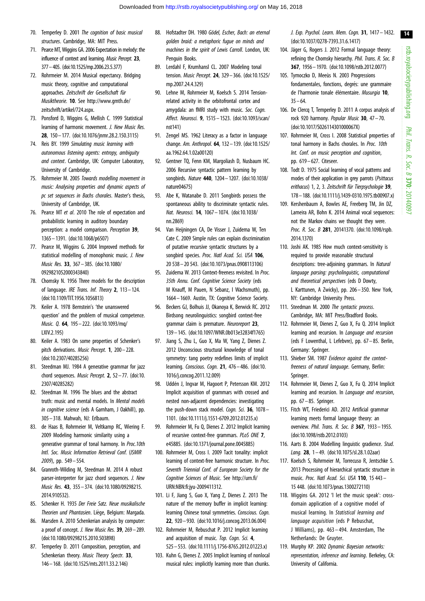- <span id="page-13-0"></span>70. Temperley D. 2001 The cognition of basic musical structures. Cambridge, MA: MIT Press.
- 71. Pearce MT, Wiggins GA. 2006 Expectation in melody: the influence of context and learning. Music Percept. 23, 377–405. [\(doi:10.1525/mp.2006.23.5.377\)](http://dx.doi.org/10.1525/mp.2006.23.5.377)
- 72. Rohrmeier M. 2014 Musical expectancy. Bridging music theory, cognitive and computational approaches. Zeitschrift der Gesellschaft für Musiktheorie. 10. See [http://www.gmth.de/](http://www.gmth.de/zeitschrift/artikel/724.aspx) [zeitschrift/artikel/724.aspx.](http://www.gmth.de/zeitschrift/artikel/724.aspx)
- 73. Ponsford D, Wiggins G, Mellish C. 1999 Statistical learning of harmonic movement. J. New Music Res. 28, 150– 177. ([doi:10.1076/jnmr.28.2.150.3115\)](http://dx.doi.org/10.1076/jnmr.28.2.150.3115)
- 74. Reis BY. 1999 Simulating music learning with autonomous listening agents: entropy, ambiguity and context. Cambridge, UK: Computer Laboratory, University of Cambridge.
- 75. Rohrmeier M. 2005 Towards modelling movement in music: Analysing properties and dynamic aspects of pc set sequences in Bachs chorales. Master's thesis, University of Cambridge, UK.
- 76. Pearce MT et al. 2010 The role of expectation and probabilistic learning in auditory boundary perception: a model comparison. Perception 39, 1365 – 1391. [\(doi:10.1068/p6507\)](http://dx.doi.org/10.1068/p6507)
- 77. Pearce M, Wiggins G. 2004 Improved methods for statistical modelling of monophonic music. J. New Music Res. 33, 367 – 385. ([doi:10.1080/](http://dx.doi.org/10.1080/0929821052000343840) [0929821052000343840](http://dx.doi.org/10.1080/0929821052000343840))
- 78. Chomsky N. 1956 Three models for the description of language. IRE Trans. Inf. Theory 2, 113– 124. [\(doi:10.1109/TIT.1956.1056813\)](http://dx.doi.org/10.1109/TIT.1956.1056813)
- 79. Keiler A. 1978 Bernstein's 'the unanswered question' and the problem of musical competence. Music. Q. 64, 195 – 222. [\(doi:10.1093/mq/](http://dx.doi.org/10.1093/mq/LXIV.2.195) [LXIV.2.195\)](http://dx.doi.org/10.1093/mq/LXIV.2.195)
- 80. Keiler A. 1983 On some properties of Schenker's pitch derivations. Music Percept. 1, 200 – 228. [\(doi:10.2307/40285256\)](http://dx.doi.org/10.2307/40285256)
- 81. Steedman MJ. 1984 A generative grammar for jazz chord sequences. Music Percept. 2, 52 – 77. ([doi:10.](http://dx.doi.org/10.2307/40285282) [2307/40285282](http://dx.doi.org/10.2307/40285282))
- 82. Steedman M. 1996 The blues and the abstract truth: music and mental models. In Mental models in cognitive science (eds A Garnham, J Oakhill), pp. 305– 318. Mahwah, NJ: Erlbaum.
- 83. de Haas B, Rohrmeier M, Veltkamp RC, Wiering F. 2009 Modeling harmonic similarity using a generative grammar of tonal harmony. In Proc.10th Intl. Soc. Music Information Retrieval Conf. (ISMIR 2009), pp. 549– 554.
- 84. Granroth-Wilding M, Steedman M. 2014 A robust parser-interpreter for jazz chord sequences. J. New Music Res. 43, 355 – 374. ([doi:10.1080/09298215.](http://dx.doi.org/10.1080/09298215.2014.910532) [2014.910532\)](http://dx.doi.org/10.1080/09298215.2014.910532).
- 85. Schenker H. 1935 Der Freie Satz. Neue musikalische Theorien und Phantasien. Liège, Belgium: Margada.
- 86. Marsden A. 2010 Schenkerian analysis by computer: a proof of concept. J. New Music Res. 39, 269– 289. [\(doi:10.1080/09298215.2010.503898\)](http://dx.doi.org/10.1080/09298215.2010.503898)
- 87. Temperley D. 2011 Composition, perception, and Schenkerian theory. Music Theory Spectr. 33, 146– 168. ([doi:10.1525/mts.2011.33.2.146\)](http://dx.doi.org/10.1525/mts.2011.33.2.146)
- 88. Hofstadter DH. 1980 Gödel, Escher, Bach: an eternal golden braid: a metaphoric fugue on minds and machines in the spirit of Lewis Carroll. London, UK: Penguin Books.
- 89. Lerdahl F, Krumhansl CL. 2007 Modeling tonal tension. Music Percept. 24, 329– 366. [\(doi:10.1525/](http://dx.doi.org/10.1525/mp.2007.24.4.329) [mp.2007.24.4.329](http://dx.doi.org/10.1525/mp.2007.24.4.329))
- 90. Lehne M, Rohrmeier M, Koelsch S. 2014 Tensionrelated activity in the orbitofrontal cortex and amygdala: an fMRI study with music. Soc. Cogn. Affect. Neurosci. 9, 1515– 1523. ([doi:10.1093/scan/](http://dx.doi.org/10.1093/scan/nst141) [nst141](http://dx.doi.org/10.1093/scan/nst141))
- 91. Zengel MS. 1962 Literacy as a factor in language change. Am. Anthropol. 64, 132– 139. [\(doi:10.1525/](http://dx.doi.org/10.1525/aa.1962.64.1.02a00120) [aa.1962.64.1.02a00120](http://dx.doi.org/10.1525/aa.1962.64.1.02a00120))
- 92. Gentner TQ, Fenn KM, Margoliash D, Nusbaum HC. 2006 Recursive syntactic pattern learning by songbirds. Nature 440, 1204– 1207. [\(doi:10.1038/](http://dx.doi.org/10.1038/nature04675) [nature04675](http://dx.doi.org/10.1038/nature04675))
- 93. Abe K, Watanabe D. 2011 Songbirds possess the spontaneous ability to discriminate syntactic rules. Nat. Neurosci. 14, 1067 – 1074. [\(doi:10.1038/](http://dx.doi.org/10.1038/nn.2869) [nn.2869](http://dx.doi.org/10.1038/nn.2869))
- 94. Van Heijningen CA, De Visser J, Zuidema W, Ten Cate C. 2009 Simple rules can explain discrimination of putative recursive syntactic structures by a songbird species. Proc. Natl Acad. Sci. USA 106. 20 538– 20 543. [\(doi:10.1073/pnas.0908113106](http://dx.doi.org/10.1073/pnas.0908113106))
- 95. Zuidema W. 2013 Context-freeness revisited. In Proc. 35th Annu. Conf. Cognitive Science Society (eds M Knauff, M Pauen, N Sebanz, I Wachsmuth), pp. 1664 – 1669. Austin, TX: Cognitive Science Society.
- 96. Beckers GJ, Bolhuis JJ, Okanoya K, Berwick RC. 2012 Birdsong neurolinguistics: songbird context-free grammar claim is premature. Neuroreport 23, 139 – 145. [\(doi:10.1097/WNR.0b013e32834f1765\)](http://dx.doi.org/10.1097/WNR.0b013e32834f1765)
- 97. Jiang S, Zhu L, Guo X, Ma W, Yang Z, Dienes Z. 2012 Unconscious structural knowledge of tonal symmetry: tang poetry redefines limits of implicit learning. Conscious. Coan. 21, 476-486. ([doi:10.](http://dx.doi.org/10.1016/j.concog.2011.12.009) [1016/j.concog.2011.12.009\)](http://dx.doi.org/10.1016/j.concog.2011.12.009)
- 98. Uddén J, Ingvar M, Hagoort P, Petersson KM. 2012 Implicit acquisition of grammars with crossed and nested non-adjacent dependencies: investigating the push-down stack model. Cogn. Sci. 36, 1078 -1101. [\(doi:10.1111/j.1551-6709.2012.01235.x](http://dx.doi.org/10.1111/j.1551-6709.2012.01235.x))
- 99. Rohrmeier M, Fu Q, Dienes Z. 2012 Implicit learning of recursive context-free grammars. PLoS ONE 7, e45885. ([doi:10.1371/journal.pone.0045885](http://dx.doi.org/10.1371/journal.pone.0045885))
- 100. Rohrmeier M, Cross I. 2009 Tacit tonality: implicit learning of context-free harmonic structure. In Proc. Seventh Triennial Conf. of European Society for the Cognitive Sciences of Music. See [http://urn.fi/](http://urn.fi/URN:NBN:fi:jyu-2009411312) [URN:NBN:fi:jyu-2009411312.](http://urn.fi/URN:NBN:fi:jyu-2009411312)
- 101. Li F, Jiang S, Guo X, Yang Z, Dienes Z. 2013 The nature of the memory buffer in implicit learning: learning Chinese tonal symmetries. Conscious. Coan. 22, 920– 930. ([doi:10.1016/j.concog.2013.06.004\)](http://dx.doi.org/10.1016/j.concog.2013.06.004)
- 102. Rohrmeier M, Rebuschat P. 2012 Implicit learning and acquisition of music. Top. Cogn. Sci. 4, 525 – 553. [\(doi:10.1111/j.1756-8765.2012.01223.x](http://dx.doi.org/10.1111/j.1756-8765.2012.01223.x))
- 103. Kuhn G, Dienes Z. 2005 Implicit learning of nonlocal musical rules: implicitly learning more than chunks.

J. Exp. Psychol. Learn. Mem. Cogn. 31, 1417 – 1432. ([doi:10.1037/0278-7393.31.6.1417\)](http://dx.doi.org/10.1037/0278-7393.31.6.1417)

- 104. Jäger G, Rogers J. 2012 Formal language theory: refining the Chomsky hierarchy. Phil. Trans. R. Soc. B 367, 1956– 1970. ([doi:10.1098/rstb.2012.0077](http://dx.doi.org/10.1098/rstb.2012.0077))
- 105. Tymoczko D, Meeùs N. 2003 Progressions fondamentales, fonctions, degrés: une grammaire de l'harmonie tonale élémentaire. Musurgia 10,  $35 - 64.$
- 106. De Clercq T, Temperley D. 2011 A corpus analysis of rock 920 harmony. Popular Music 30,  $47 - 70$ . ([doi:10.1017/S026114301000067X\)](http://dx.doi.org/10.1017/S026114301000067X)
- 107. Rohrmeier M, Cross I. 2008 Statistical properties of tonal harmony in Bachs chorales. In Proc. 10th Int. Conf. on music perception and cognition, pp. 619– 627. Citeseer.
- 108. Todt D. 1975 Social learning of vocal patterns and modes of their application in grey parrots (Psittacus erithacus) 1, 2, 3. Zeitschrift für Tierpsychologie 39, 178–188. [\(doi:10.1111/j.1439-0310.1975.tb00907.x](http://dx.doi.org/10.1111/j.1439-0310.1975.tb00907.x))
- 109. Kershenbaum A, Bowles AE, Freeberg TM, Jin DZ, Lameira AR, Bohn K. 2014 Animal vocal sequences: not the Markov chains we thought they were. Proc. R. Soc. B 281, 20141370. ([doi:10.1098/rspb.](http://dx.doi.org/10.1098/rspb.2014.1370) [2014.1370](http://dx.doi.org/10.1098/rspb.2014.1370))
- 110. Joshi AK. 1985 How much context-sensitivity is required to provide reasonable structural descriptions: tree-adioining grammars. In Natural language parsing: psycholinguistic, computational and theoretical perspectives (eds D Dowty, L Karttunen, A Zwicky), pp. 206 – 350. New York, NY: Cambridge University Press.
- 111. Steedman M. 2000 The syntactic process. Cambridge, MA: MIT Press/Bradford Books.
- 112. Rohrmeier M, Dienes Z, Guo X, Fu Q. 2014 Implicit learning and recursion. In Language and recursion (eds F Lowenthal, L Lefebvre), pp. 67 – 85. Berlin, Germany: Springer.
- 113. Shieber SM. 1987 Evidence against the contextfreeness of natural language. Germany, Berlin: Springer.
- 114. Rohrmeier M, Dienes Z, Guo X, Fu Q. 2014 Implicit learning and recursion. In Language and recursion, pp. 67 – 85. Springer.
- 115. Fitch WT, Friederici AD. 2012 Artificial grammar learning meets formal language theory: an overview. Phil. Trans. R. Soc. B 367, 1933 – 1955. ([doi:10.1098/rstb.2012.0103](http://dx.doi.org/10.1098/rstb.2012.0103))
- 116. Aarts B. 2004 Modelling linguistic gradience. Stud. Lang. 28, 1– 49. ([doi:10.1075/sl.28.1.02aar](http://dx.doi.org/10.1075/sl.28.1.02aar))
- 117. Koelsch S, Rohrmeier M, Torrecuso R, Jentschke S. 2013 Processing of hierarchical syntactic structure in music. Proc. Natl Acad. Sci. USA 110, 15 443– 15 448. [\(doi:10.1073/pnas.1300272110](http://dx.doi.org/10.1073/pnas.1300272110))
- 118. Wiggins GA. 2012 'I let the music speak': crossdomain application of a cognitive model of musical learning. In Statistical learning and language acquisition (eds P Rebuschat, J Williams), pp. 463 – 494. Amsterdam, The Netherlands: De Gruyter.
- 119. Murphy KP. 2002 Dynamic Bayesian networks: representation, inference and learning. Berkeley, CA: University of California.